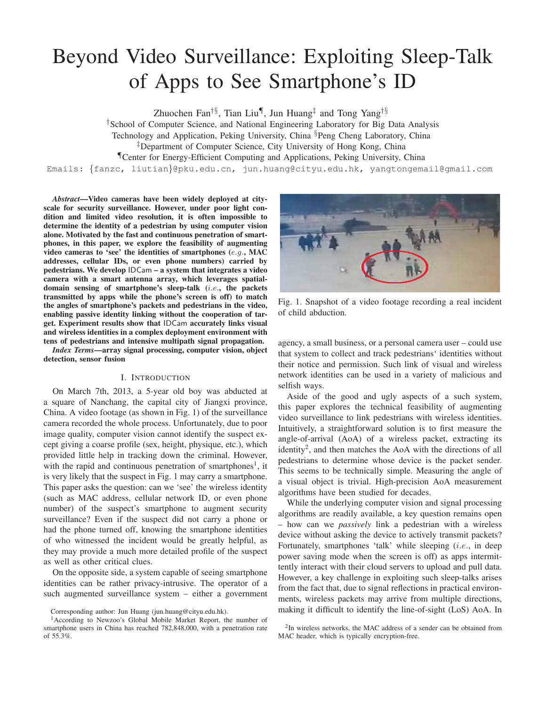# Beyond Video Surveillance: Exploiting Sleep-Talk of Apps to See Smartphone's ID

Zhuochen Fan<sup>†§</sup>, Tian Liu¶, Jun Huang<sup>‡</sup> and Tong Yang<sup>†§</sup>

†School of Computer Science, and National Engineering Laboratory for Big Data Analysis

Technology and Application, Peking University, China §Peng Cheng Laboratory, China

‡Department of Computer Science, City University of Hong Kong, China

¶Center for Energy-Efficient Computing and Applications, Peking University, China

Emails: {fanzc, liutian}@pku.edu.cn, jun.huang@cityu.edu.hk, yangtongemail@gmail.com

*Abstract*—Video cameras have been widely deployed at cityscale for security surveillance. However, under poor light condition and limited video resolution, it is often impossible to determine the identity of a pedestrian by using computer vision alone. Motivated by the fast and continuous penetration of smartphones, in this paper, we explore the feasibility of augmenting video cameras to 'see' the identities of smartphones (e.g., MAC addresses, cellular IDs, or even phone numbers) carried by pedestrians. We develop IDCam – a system that integrates a video camera with a smart antenna array, which leverages spatialdomain sensing of smartphone's sleep-talk (i.e., the packets transmitted by apps while the phone's screen is off) to match the angles of smartphone's packets and pedestrians in the video, enabling passive identity linking without the cooperation of target. Experiment results show that IDCam accurately links visual and wireless identities in a complex deployment environment with tens of pedestrians and intensive multipath signal propagation.

*Index Terms*—array signal processing, computer vision, object detection, sensor fusion

## I. INTRODUCTION

On March 7th, 2013, a 5-year old boy was abducted at a square of Nanchang, the capital city of Jiangxi province, China. A video footage (as shown in Fig. 1) of the surveillance camera recorded the whole process. Unfortunately, due to poor image quality, computer vision cannot identify the suspect except giving a coarse profile (sex, height, physique, etc.), which provided little help in tracking down the criminal. However, with the rapid and continuous penetration of smartphones<sup>1</sup>, it is very likely that the suspect in Fig. 1 may carry a smartphone. This paper asks the question: can we 'see' the wireless identity (such as MAC address, cellular network ID, or even phone number) of the suspect's smartphone to augment security surveillance? Even if the suspect did not carry a phone or had the phone turned off, knowing the smartphone identities of who witnessed the incident would be greatly helpful, as they may provide a much more detailed profile of the suspect as well as other critical clues.

On the opposite side, a system capable of seeing smartphone identities can be rather privacy-intrusive. The operator of a such augmented surveillance system – either a government



Fig. 1. Snapshot of a video footage recording a real incident of child abduction.

agency, a small business, or a personal camera user – could use that system to collect and track pedestrians' identities without their notice and permission. Such link of visual and wireless network identities can be used in a variety of malicious and selfish ways.

Aside of the good and ugly aspects of a such system, this paper explores the technical feasibility of augmenting video surveillance to link pedestrians with wireless identities. Intuitively, a straightforward solution is to first measure the angle-of-arrival (AoA) of a wireless packet, extracting its identity<sup>2</sup>, and then matches the AoA with the directions of all pedestrians to determine whose device is the packet sender. This seems to be technically simple. Measuring the angle of a visual object is trivial. High-precision AoA measurement algorithms have been studied for decades.

While the underlying computer vision and signal processing algorithms are readily available, a key question remains open – how can we *passively* link a pedestrian with a wireless device without asking the device to actively transmit packets? Fortunately, smartphones 'talk' while sleeping  $(i.e.,$  in deep power saving mode when the screen is off) as apps intermittently interact with their cloud servers to upload and pull data. However, a key challenge in exploiting such sleep-talks arises from the fact that, due to signal reflections in practical environments, wireless packets may arrive from multiple directions, making it difficult to identify the line-of-sight (LoS) AoA. In

Corresponding author: Jun Huang (jun.huang@cityu.edu.hk).

<sup>1</sup>According to Newzoo's Global Mobile Market Report, the number of smartphone users in China has reached 782,848,000, with a penetration rate of 55.3%.

<sup>&</sup>lt;sup>2</sup>In wireless networks, the MAC address of a sender can be obtained from MAC header, which is typically encryption-free.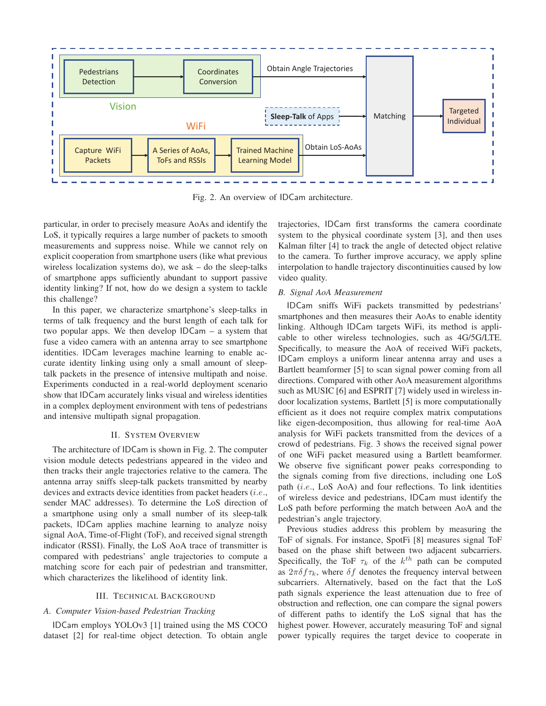

Fig. 2. An overview of IDCam architecture.

particular, in order to precisely measure AoAs and identify the LoS, it typically requires a large number of packets to smooth measurements and suppress noise. While we cannot rely on explicit cooperation from smartphone users (like what previous wireless localization systems do), we ask – do the sleep-talks of smartphone apps sufficiently abundant to support passive identity linking? If not, how do we design a system to tackle this challenge?

In this paper, we characterize smartphone's sleep-talks in terms of talk frequency and the burst length of each talk for two popular apps. We then develop IDCam – a system that fuse a video camera with an antenna array to see smartphone identities. IDCam leverages machine learning to enable accurate identity linking using only a small amount of sleeptalk packets in the presence of intensive multipath and noise. Experiments conducted in a real-world deployment scenario show that IDCam accurately links visual and wireless identities in a complex deployment environment with tens of pedestrians and intensive multipath signal propagation.

## II. SYSTEM OVERVIEW

The architecture of IDCam is shown in Fig. 2. The computer vision module detects pedestrians appeared in the video and then tracks their angle trajectories relative to the camera. The antenna array sniffs sleep-talk packets transmitted by nearby devices and extracts device identities from packet headers  $(i.e.,$ sender MAC addresses). To determine the LoS direction of a smartphone using only a small number of its sleep-talk packets, IDCam applies machine learning to analyze noisy signal AoA, Time-of-Flight (ToF), and received signal strength indicator (RSSI). Finally, the LoS AoA trace of transmitter is compared with pedestrians' angle trajectories to compute a matching score for each pair of pedestrian and transmitter, which characterizes the likelihood of identity link.

#### III. TECHNICAL BACKGROUND

#### *A. Computer Vision-based Pedestrian Tracking*

IDCam employs YOLOv3 [1] trained using the MS COCO dataset [2] for real-time object detection. To obtain angle trajectories, IDCam first transforms the camera coordinate system to the physical coordinate system [3], and then uses Kalman filter [4] to track the angle of detected object relative to the camera. To further improve accuracy, we apply spline interpolation to handle trajectory discontinuities caused by low video quality.

# *B. Signal AoA Measurement*

IDCam sniffs WiFi packets transmitted by pedestrians' smartphones and then measures their AoAs to enable identity linking. Although IDCam targets WiFi, its method is applicable to other wireless technologies, such as 4G/5G/LTE. Specifically, to measure the AoA of received WiFi packets, IDCam employs a uniform linear antenna array and uses a Bartlett beamformer [5] to scan signal power coming from all directions. Compared with other AoA measurement algorithms such as MUSIC [6] and ESPRIT [7] widely used in wireless indoor localization systems, Bartlett [5] is more computationally efficient as it does not require complex matrix computations like eigen-decomposition, thus allowing for real-time AoA analysis for WiFi packets transmitted from the devices of a crowd of pedestrians. Fig. 3 shows the received signal power of one WiFi packet measured using a Bartlett beamformer. We observe five significant power peaks corresponding to the signals coming from five directions, including one LoS path (i.e., LoS AoA) and four reflections. To link identities of wireless device and pedestrians, IDCam must identify the LoS path before performing the match between AoA and the pedestrian's angle trajectory.

Previous studies address this problem by measuring the ToF of signals. For instance, SpotFi [8] measures signal ToF based on the phase shift between two adjacent subcarriers. Specifically, the ToF  $\tau_k$  of the  $k^{th}$  path can be computed as  $2\pi\delta f\tau_k$ , where  $\delta f$  denotes the frequency interval between subcarriers. Alternatively, based on the fact that the LoS path signals experience the least attenuation due to free of obstruction and reflection, one can compare the signal powers of different paths to identify the LoS signal that has the highest power. However, accurately measuring ToF and signal power typically requires the target device to cooperate in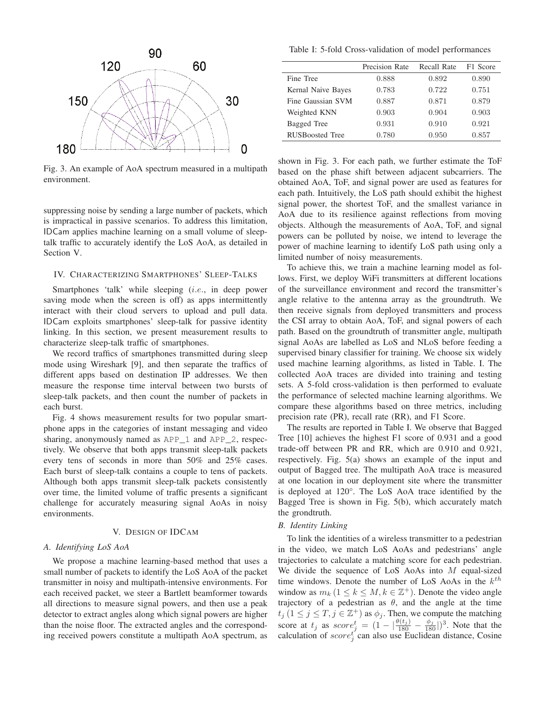

Fig. 3. An example of AoA spectrum measured in a multipath environment.

suppressing noise by sending a large number of packets, which is impractical in passive scenarios. To address this limitation, IDCam applies machine learning on a small volume of sleeptalk traffic to accurately identify the LoS AoA, as detailed in Section V.

# IV. CHARACTERIZING SMARTPHONES' SLEEP-TALKS

Smartphones 'talk' while sleeping (*i.e.*, in deep power saving mode when the screen is off) as apps intermittently interact with their cloud servers to upload and pull data. IDCam exploits smartphones' sleep-talk for passive identity linking. In this section, we present measurement results to characterize sleep-talk traffic of smartphones.

We record traffics of smartphones transmitted during sleep mode using Wireshark [9], and then separate the traffics of different apps based on destination IP addresses. We then measure the response time interval between two bursts of sleep-talk packets, and then count the number of packets in each burst.

Fig. 4 shows measurement results for two popular smartphone apps in the categories of instant messaging and video sharing, anonymously named as APP\_1 and APP\_2, respectively. We observe that both apps transmit sleep-talk packets every tens of seconds in more than 50% and 25% cases. Each burst of sleep-talk contains a couple to tens of packets. Although both apps transmit sleep-talk packets consistently over time, the limited volume of traffic presents a significant challenge for accurately measuring signal AoAs in noisy environments.

## V. DESIGN OF IDCAM

## *A. Identifying LoS AoA*

We propose a machine learning-based method that uses a small number of packets to identify the LoS AoA of the packet transmitter in noisy and multipath-intensive environments. For each received packet, we steer a Bartlett beamformer towards all directions to measure signal powers, and then use a peak detector to extract angles along which signal powers are higher than the noise floor. The extracted angles and the corresponding received powers constitute a multipath AoA spectrum, as

Table I: 5-fold Cross-validation of model performances

|                        | Precision Rate | Recall Rate | F1 Score |
|------------------------|----------------|-------------|----------|
| Fine Tree              | 0.888          | 0.892       | 0.890    |
| Kernal Naive Bayes     | 0.783          | 0.722       | 0.751    |
| Fine Gaussian SVM      | 0.887          | 0.871       | 0.879    |
| Weighted KNN           | 0.903          | 0.904       | 0.903    |
| Bagged Tree            | 0.931          | 0.910       | 0.921    |
| <b>RUSBoosted Tree</b> | 0.780          | 0.950       | 0.857    |
|                        |                |             |          |

shown in Fig. 3. For each path, we further estimate the ToF based on the phase shift between adjacent subcarriers. The obtained AoA, ToF, and signal power are used as features for each path. Intuitively, the LoS path should exhibit the highest signal power, the shortest ToF, and the smallest variance in AoA due to its resilience against reflections from moving objects. Although the measurements of AoA, ToF, and signal powers can be polluted by noise, we intend to leverage the power of machine learning to identify LoS path using only a limited number of noisy measurements.

To achieve this, we train a machine learning model as follows. First, we deploy WiFi transmitters at different locations of the surveillance environment and record the transmitter's angle relative to the antenna array as the groundtruth. We then receive signals from deployed transmitters and process the CSI array to obtain AoA, ToF, and signal powers of each path. Based on the groundtruth of transmitter angle, multipath signal AoAs are labelled as LoS and NLoS before feeding a supervised binary classifier for training. We choose six widely used machine learning algorithms, as listed in Table. I. The collected AoA traces are divided into training and testing sets. A 5-fold cross-validation is then performed to evaluate the performance of selected machine learning algorithms. We compare these algorithms based on three metrics, including precision rate (PR), recall rate (RR), and F1 Score.

The results are reported in Table I. We observe that Bagged Tree [10] achieves the highest F1 score of 0.931 and a good trade-off between PR and RR, which are 0.910 and 0.921, respectively. Fig. 5(a) shows an example of the input and output of Bagged tree. The multipath AoA trace is measured at one location in our deployment site where the transmitter is deployed at 120°. The LoS AoA trace identified by the Bagged Tree is shown in Fig. 5(b), which accurately match the grondtruth.

# *B. Identity Linking*

To link the identities of a wireless transmitter to a pedestrian in the video, we match LoS AoAs and pedestrians' angle trajectories to calculate a matching score for each pedestrian. We divide the sequence of LoS AoAs into M equal-sized time windows. Denote the number of LoS AoAs in the  $k^{th}$ window as  $m_k$  ( $1 \leq k \leq M, k \in \mathbb{Z}^+$ ). Denote the video angle trajectory of a pedestrian as  $\theta$ , and the angle at the time  $t_j$  ( $1 \le j \le T, j \in \mathbb{Z}^+$ ) as  $\phi_j$ . Then, we compute the matching score at  $t_j$  as  $score_j^t = (1 - |\frac{\theta(t_j)}{180} - \frac{\phi_j}{180}|)^3$ . Note that the calculation of  $score_j^t$  can also use Euclidean distance, Cosine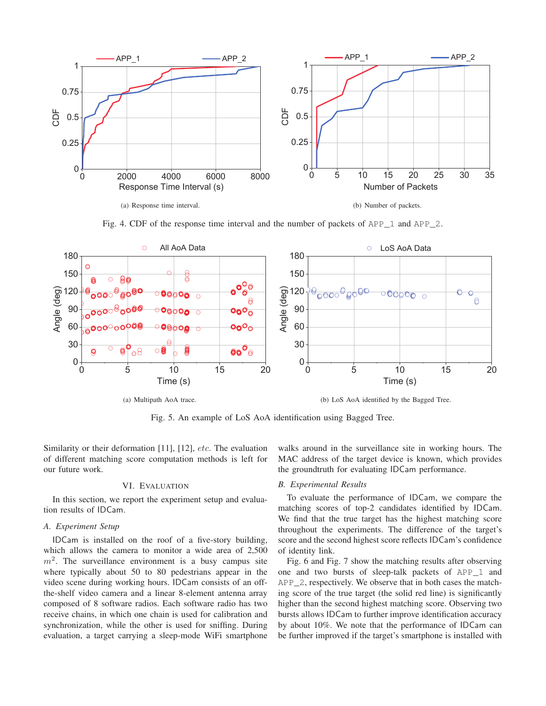

Fig. 4. CDF of the response time interval and the number of packets of  $APP$  1 and  $APP$  2.



Fig. 5. An example of LoS AoA identification using Bagged Tree.

Similarity or their deformation [11], [12], *etc*. The evaluation of different matching score computation methods is left for our future work.

## VI. EVALUATION

In this section, we report the experiment setup and evaluation results of IDCam.

## *A. Experiment Setup*

IDCam is installed on the roof of a five-story building, which allows the camera to monitor a wide area of 2,500  $m<sup>2</sup>$ . The surveillance environment is a busy campus site where typically about 50 to 80 pedestrians appear in the video scene during working hours. IDCam consists of an offthe-shelf video camera and a linear 8-element antenna array composed of 8 software radios. Each software radio has two receive chains, in which one chain is used for calibration and synchronization, while the other is used for sniffing. During evaluation, a target carrying a sleep-mode WiFi smartphone walks around in the surveillance site in working hours. The MAC address of the target device is known, which provides the groundtruth for evaluating IDCam performance.

# *B. Experimental Results*

To evaluate the performance of IDCam, we compare the matching scores of top-2 candidates identified by IDCam. We find that the true target has the highest matching score throughout the experiments. The difference of the target's score and the second highest score reflects IDCam's confidence of identity link.

Fig. 6 and Fig. 7 show the matching results after observing one and two bursts of sleep-talk packets of APP\_1 and APP\_2, respectively. We observe that in both cases the matching score of the true target (the solid red line) is significantly higher than the second highest matching score. Observing two bursts allows IDCam to further improve identification accuracy by about 10%. We note that the performance of IDCam can be further improved if the target's smartphone is installed with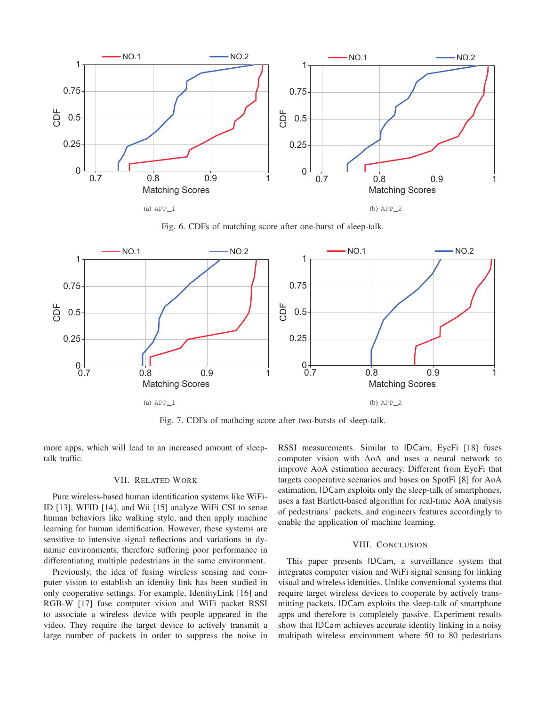

Fig. 6. CDFs of matching score after one-burst of sleep-talk.



Fig. 7. CDFs of mathcing score after two-bursts of sleep-talk.

more apps, which will lead to an increased amount of sleeptalk traffic.

# VII. RELATED WORK

Pure wireless-based human identification systems like WiFi-ID [13], WFID [14], and Wii [15] analyze WiFi CSI to sense human behaviors like walking style, and then apply machine learning for human identification. However, these systems are sensitive to intensive signal reflections and variations in dynamic environments, therefore suffering poor performance in differentiating multiple pedestrians in the same environment.

Previously, the idea of fusing wireless sensing and computer vision to establish an identity link has been studied in only cooperative settings. For example, IdentityLink [16] and RGB-W [17] fuse computer vision and WiFi packet RSSI to associate a wireless device with people appeared in the video. They require the target device to actively transmit a large number of packets in order to suppress the noise in RSSI measurements. Similar to IDCam, EyeFi [18] fuses computer vision with AoA and uses a neural network to improve AoA estimation accuracy. Different from EyeFi that targets cooperative scenarios and bases on SpotFi [8] for AoA estimation, IDCam exploits only the sleep-talk of smartphones, uses a fast Bartlett-based algorithm for real-time AoA analysis of pedestrians' packets, and engineers features accordingly to enable the application of machine learning.

# VIII. CONCLUSION

This paper presents IDCam, a surveillance system that integrates computer vision and WiFi signal sensing for linking visual and wireless identities. Unlike conventional systems that require target wireless devices to cooperate by actively transmitting packets, IDCam exploits the sleep-talk of smartphone apps and therefore is completely passive. Experiment results show that IDCam achieves accurate identity linking in a noisy multipath wireless environment where 50 to 80 pedestrians